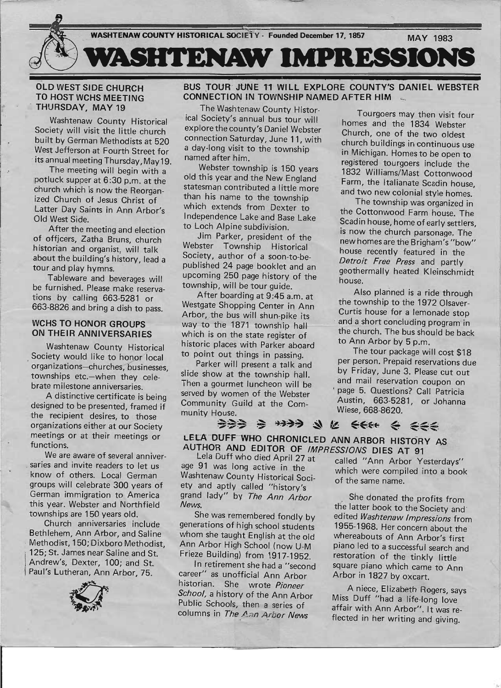

## OLD WEST SIDE CHURCH TO HOST WCHS MEETING THURSDAY, MAY 19

Washtenaw County Historical Society will visit the little church built by German Methodists at 520 West Jefferson at Fourth Street for its annual meeting Thursday, May 19.

The meeting will begin with a potluck supper at 6:30 p,m. at the church which is now the Reorganized Church of Jesus Christ of Latter Day Saints in Ann Arbor's Old West Side.

After the meeting and election of offjcers, Zatha Bruns, church historian and organist, will talk about the building's history, lead a tour and play hymns:

Tableware and beverages will be furnished. Please make reservations by calling 663-5281 or 663-8826 and bring a dish to pass.

## WCHS TO HONOR GROUPS ON THEIR ANNIVERSARIES

Washtenaw County Historical Society would like to honor local organizations-churches, businesses, townships etc.-when they celebrate milestone anniversaries.

A distinctive certificate is being designed to be presented, framed if the recipient desires, to those organizations either at our Society meetings or at their meetings or functions.

I -

We are aware of several anniversaries and invite readers to let us know of others. Local German groups will celebrate 300 years of German immigration to America this year. Webster and Northfield townships are 150 years old.

Church anniversaries include Bethlehem, Ann Arbor, and Saline , Methodist, 150; Dixboro Methodist, 125; St. James near Saline and St. Andrew's, Dexter, 100; and St. Paul's Lutheran, Ann Arbor, 75.



BUS TOUR JUNE 11 WILL EXPLORE COUNTY'S DANIEL WEBSTER CONNECTION IN TOWNSHIP NAMED AFTER HIM \_\_

The Washtenaw County Histor-<br>
Tourgoers may then visit four<br>
ical Society's annual bus tour will<br>
homes and the 1924 Website ical Society's annual bus tour will homes and the 1834 Webster explore the county's Daniel Webster Church, one of the two oldest<br>connection Saturday, June 11, with contents buildings connection Saturday, June 11, with church buildings in continuous use a day-long visit to the township in Michigan. Homes to be open to

Webster township is 150 years 1832 Williams/Mast Cottonwood<br>old this year and the New England Eerm the Italians Continued old this year and the New England Farm, the Italianate Scadin house, statesman contributed a little more and two new colonial style homes. than his name to the township<br>which extends from Dexter to the Cotton and East in Ti where extends from Dexter to the Cottonwood Farm house. The Independence Lake and Base Lake Scadin house, home of early settlers,

Webster Township Historical house recently featured in the Society, author of a soon-to-be-<br>published 24 page booklet and an and parthers all the book of the UK of the Book upcoming 250 page history of the house.

Westgate Shopping Center in Ann the township to the 1972 Olsaver-<br>Arbor, the bus will shup pike its Curtis house for a lemonade stop Arbor, the bus will shun-pike its<br>way to the 1871 township hall and a short concluding program in which is on the state register of  $\frac{\text{The current line has no  
bforic places with Parker ahead}$  to Ann Arbor by 5 p.m. historic places with Parker aboard to Ann Arbor by 5 p.m.<br>to point out things in passing The tour package will cost \$18 to point out things in passing.

Then a gourmet luncheon will be served by women of the Webster<br>Community Guild at the Comes Austin, 663-5281, or Johanna Community Guild at the Community House. Wiese, 668-8620.

ned after him.<br>Webster township is 150 years and the registered tourgoers include the

Loch Alpine subdivision.<br>Jim Parker, president of the the second the church parsonage. The Jim Parker, president of the new homes are the Brigham's "bow"<br>Webster Township Historical house recently featured geothermally heated Kleinschmidt

township, will be tour guide.<br>After boarding at 9:45 a.m. at Also planned is a ride through <br>Mestaste Shopping Center in Ann the township to the 1972 Olsaverway to the 1871 township hall and a short concluding program in<br>which is on the state register of the church. The bus should be back

Parker will present a talk and per person. Prepaid reservations due slide show at the township hall. by Friday, June 3. Please cut out<br>Than a courmet luncheon will be and mail reservation coupon on

→→→ →→→ → € ←← ← ← LELA DUFF WHO CHRONICLED ANN ARBOR HISTORY AS AUTHOR AND EDITOR OF *IMPRESSIONS* DIES AT 91<br>Lela Duff who died April 27 at called "App Arbor Ye

age 91 was long active in the which were compiled into a book Washtenaw County Historical Soci- of the same name. ety and aptly called "history's grand lady" by The Ann Arbor News.

She was remembered fondly by generations of high school students whom she taught English at the old Ann Arbor High School (now U-M Frieze Building) from 1917-1952.

In retirement she had a "second career" as unofficial Ann Arbor historian. She wrote Pioneer School, a history of the Ann Arbor Public Schools, then a series of columns in The Ann Arbor News

called "Ann Arbor Yesterdays"

She donated the profits from the latter book to the Society and edited Washtenaw Impressions from 1955-1968. Her concern about the whereabouts of Ann Arbor's first piano led to a successful search and restoration of the tinkly little square piano which came to Ann Arbor in 1827 by oxcart.

A niece, Elizabeth Rogers, says Miss Duff "had a life-long love affair with Ann Arbor". It was reflected in her writing and giving.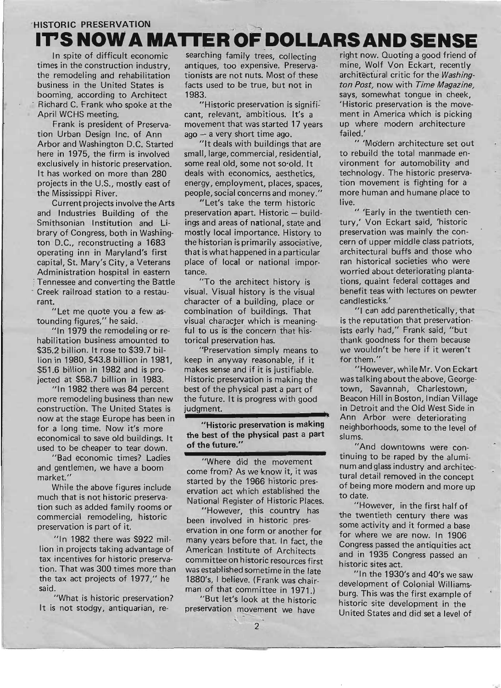## 'HISTORIC PRESERVATION **IT'S NOW A MATTER OF** DOLLARS AND **SENSE**

In spite of difficult economic searching family trees, collecting times in the construction industry, antiques, too expensive. Preservathe remodeling and rehabilitation tionists are not nuts. Most of these business in the United States is facts used to be true, but not in booming, according to Architect 1983. Richard C. Frank who spoke at the "Historic preservation is signifi-April WCHS meeting. cant, relevant, ambitious. It's a

tion Urban Design Inc. of Ann  $aqo - a$  very short time ago. Arbor and Washington D.C. Started "It deals with buildings that are here in 1975, the firm is involved small, large, commercial, residential, exclusively in historic preservation. some real old, some not so·old. It It has worked on more than 280 deals with economics, aesthetics, the Mississippi River. people, social concerns and money.'

and Industries Building of the preservation apart. Historic - build-Smithsonian Institution and Li- ings and areas of national, state and brary of Congress, both in Washing- mostly local importance. History to ton D.C., reconstructing a 1683 the historian is primarily associative, operating inn in Maryland's first that is what happened in a particular capital, St. Mary's City, a Veterans place of local or national impor-Administration hospital in eastern tance. Tennessee and converting the Battle "To the architect history is Creek railroad station to a restau- visual. Visual history is the visual rant. **character of a building, place or** 

habilitation business amounted to torical preservation has. \$35.2 billion. It rose to \$39.7 bil-<br>
"Preservation simply means to lion in 1980, \$43.8 billion in 1981, keep in anyway reasonable, if it \$51.6 billion in 1982 and is pro- makes sense and if it is justifiable. jected at \$58.7 billion in 1983. Historic preservation is making the

more remodeling business than new the future. It is progress with good construction. The United States is judgment. now at the stage Europe has been in **---------------** for a long time. Now it's more "Historic preservation is making used to be cheaper to tear down. of the future."

"Bad economic times? Ladies and gentlemen, we have a boom market. "

While the above figures include much that is not historic preservation such as added family rooms or commercial remodeling, historic preservation is part of it.

 $''$ In 1982 there was \$922 million in projects taking advantage of tax incentives for historic preservation. That was 300 times more than the tax act projects of 1977," he said.

"What is historic preservation? It is not stodgy, antiquarian, re-

Frank is president of Preserva- movement that was started 17 years

projects in the U.S., m0stly east of energy, employment, places, spaces,

Current projects involve the Arts "Let's take the term historic

"Let me quote you a few as- combination of buildings. That tounding figures," he said. . . . . . . . visual character which is meaning-"In 1979 the remodeling or re- ful to us is the concern that his-

"In 1982 there was 84 percent best of the physical past a part of

economical to save old buildings. It the best of the physical past a part

"Where did the movement come from? As we know it, it was started by the 1966 historic preservation act which established the National Register of Historic Places.

"However, this country has been involved in historic preservation in one form or another for many years before that. In fact, the American Institute of Architects committee on historic resources first was established sometime in the late 1880's, I believe. (Frank was chairman of that committee in 1971.)

"But let's look at the historic preservation movement we have right now. Quoting a good friend of mine, Wolf Von Eckart, recently architectural critic for the *Washington Post,* now with *Time Magazine,*  says, somewhat tongue in cheek. 'Historic preservation is the movement in America which is picking up where modern architecture failed.'

" 'Modern architecture set out to rebuild the total manmade environment for automobility and technology. The historic preservation movement is fighting for a more human and humane place to live.

" 'Early in the twentieth century,' Von Eckart said, 'historic preservation was mainly the concern of upper middle class patriots, architectural buffs and those who ran historical societies who were worried about deteriorating plantations, quaint federal cottages and benefit teas with lectures on pewter candlesticks. '

"I can add parenthetically, that is the reputation that preservationists early had," Frank said, "but thank goodness for them because we wouldn't be here if it weren't for them."

"However, while Mr. Von Eckart was talking about the above, Georgetown, Savannah, Charlestown, Beacon Hill in Boston, Indian Village in Detroit and the Old West Side in Ann Arbor were deteriorafing neighborhoods, some to the level of slums.

"And downtowns were continuing to be raped by the aluminum and glass industry and architectural detail removed in the concept of being more modern and more up to date.

"However, in the first half of the twentieth century there was some activity and it formed a base for where we are now. In 1906 Congress passed the antiquities act and in 1935 Congress passed an historic sites act.

"In the  $1930$ 's and  $40$ 's we saw development of Colonial Williamsburg. This was the first example of historic site development in the United States and did set a level of

"'"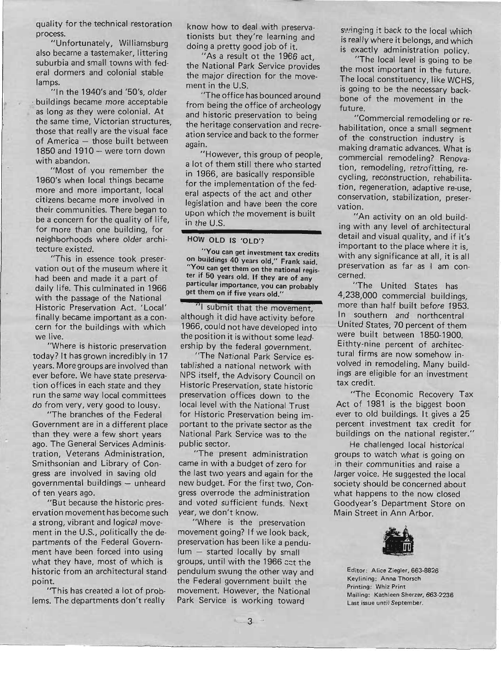quality for the technical restoration process.

"Unfortunately, Williamsburg also became a tastemaker, littering suburbia and small towns with federal dormers and colonial stable lamps.

"In the 1940's and '50's, older . buildings became more acceptable as long as they were colonial. At the same time, Victorian structures, those that really are the visual face of America - those built between 1850 and 1910 - were torn down with abandon.

"Most of you remember the 1960's when local things became more and more important, local citizens. became more involved in their communities. There began to be a concern for the quality of life, for more than one building, for neigheorhoods where older architecture existed.

"This in essence took preservation out of the museum where it had been and made it a part of daily life. This culminated in 1966 with the passage of the National Historic Preservation Act. 'Local' finally became important as a concern for the buildings with which we live.

"Where is historic preservation today? It has grown incredibly in 17 years. More groups are involved than ever before. We have state preservation offices in each state and they run the same way local committees do from very, very good to lousy.

"The branches of the Federal Government are in a different place than they were a few short years ago. The General Services Administration, Veterans Administration, Smithsonian and Library of Congress are involved in saving old governmental buildings - unheard of ten years ago.

"But because the historic preservation movement has become such a strong, vibrant and logical movement in the U.S., politically the departments of the Federal Government have been forced into using what they have, most of which is historic from an architectural stand· point.

"This has created a lot of problems. The departments don't really

know how to deal with preservationists but they're learning and doing a pretty good job of it.

"As a result ot the 1966 act, the National Park Service provides the major direction for the movement in the U.S.

"The office has bounced around from being the office of archeology and historic preservation to being the heritage conservation and recreation service and back to the former again.

"However, this group of people, a lot of them still there who started in 1966, are basically responsible for the implementation of the federal aspects of the act and other legislation and have been the core upon which the movement is built in the U.S.

## HOW OLD IS 'OLD'?

"You can get investment tax credits on buildings 40 years old," Frank said. You can get them on the national register if 50 years old. If they are of any particular importance, you can probably get them on if five years old."

"1 submit that the movement although it did have activity before 1966, could not have developed into the position it is without some leadership by the federal government.

"The National Park Service established a national network with NPS itself, the Advisory Council on Historic Preservation, state historic preservation offices down to the local level with the National Trust for Historic Preservation being important to the private sector as the National Park Service was to the public sector.

"The present administration came in with a budget of zero for the last two years and again for the new budget. For the first two, Congress overrode the administration and voted sufficient funds. Next year, we don't know.

"Where is the preservation movement going? If we look back, preservation has been like a pendulum - started locally by small groups, until with the 1966 act the pendulum swung the other way and the Federal government built the movement. However, the National Park Service is working toward

swinging it back to the local which is really where it belongs, and which is exactly administration policy.

"The local level is going to be the most important in the future. The local constituency, like WCHS, is going to be the necessary backbone of the movement in the future.

"Commercial remodeling or rehabilitation, once a small segment of the construction industry is making dramatic advances. What is commercial remodeling? Renovation, remodeling, retrofitting, recycling, reconstruction, rehabilitation, regeneration, adaptive re-use, conservation, stabilization, preservation.

"An activity on an old build~ ing with any level of architectural detail and visual quality, and if it's important to the place where it is, with any significance at all, it is all preservation as far as I am concerned.

"The United States has 4,238,000 commercial buildings, more than half built before 1953. In southern and northcentral United States, 70 percent of them were built between 1850-1900. Eithty-nine percent of architectural firms are now somehow involved in remodeling. Many buildings are eligible for an investment tax credit.

*liThe* Economic Recovery Tax Act of 1981 is the biggest boon ever to old buildings. It gives a 25 percent investment tax credit for buildings on the national register."

He challenged local historical groups to watch what is going on in their communities and raise a larger voice. He suggested the local society should be concerned about what happens to the now closed Goodyear's Department Store on Main Street in Ann Arbor.



Editor: Alice Ziegler, 663-8826 Keylining: Anna Thorsch Printing: Whiz Print Mailing: Kathleen Sherzer, 663-2236 Last issue until September.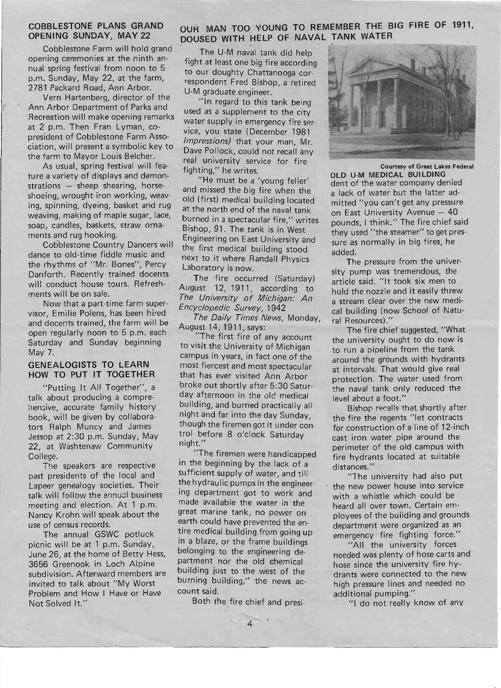## COBBLESTONE PLANS GRAND OPENING SUNDAY, MAY 22

Cobblestone Farm will hold grand opening ceremonies at the ninth annual spring festival from noon to 5 p.m. Sunday, May 22, at the farm, 2781 Packard Road, Ann Arbor.

Vern Hartenberg, director of the Ann Arbor Department of Parks and Recreation will make opening remarks at 2 p.m. Then Fran Lyman, copresident of Cobblestone Farm Association, will present a symbolic key to the farm to Mayor Louis Belcher.

As usual, spring festival will feature a variety of displays and demon $strations$  - sheep shearing, horseshoeing, wrought iron working, weaving, spinning, dyeing, basket and rug weaving, making of maple sugar, lace, soap, candles, baskets, straw ornaments and rug hooking.

Cobblestone Country Dancers will dance to old-time fiddle music and the rhythms of "Mr. Bones", Percy Danforth. Recently trained docents will conduct house tours. Refreshments will be on sale.

Now that a part-time farm supervisor, Emilie Polens, has been hired and docents trained, the farm will be open regularly noon to 5 p.m. each Saturday and Sunday beginning May 7.

#### GENEALOGISTS TO LEARN HOW TO PUT IT TOGETHER

"Putting It All Together", a talk about producing a comprehensive, accurate family history book, will be given by collaborators Ralph Muncy and James Jessop at 2:30 p.m. Sunday, May 22, at Washtenaw Community College.

The speakers are respective past presidents of the local and. Lapeer genealogy societies. Their talk will follow the annual business meeting and election. At 1 p.m. Nancy Krohn will speak about the use of census records.

The annual GSWC potluck picnic will be at 1 p.m. Sunday, June 26, at the home of Betty Hess, 3656 Greenook in Loch Alpine subdivision. Afterward members are invited to talk about "My Worst Problem and How I Have or Have Not Solved It."

## OUR MAN TOO YOUNG TO REMEMBER THE BIG FIRE OF 1911, DOUSED WITH HELP OF NAVAL TANK WATER

The U-M naval tank did help fight at least one big fire according to our doughty Chattanooga correspondent Fred Bishop, a retired U-M graduate engineer.

"In regard to this tank being used as a supplement to the city water supply in emergency fire service, you state (December 1981 Impressions) that your man, Mr. Dave Pollock, could not recall any real university service for fire fighting," he writes.

"He must be a 'young feller' and missed the big fire when the old (first) medical building located at the north end of the naval tank burned in a spectacular fire," writes Bishop, 91. The tank is in West Engineering on East University and the first medical building stood next to it where Randall Physics Laboratory is now.

The fire occurred (Saturday) August 12, 1911, according to The University of Michigan: An Encyclopedic Survey, 1942

The Daily Times News, Monday, August 14, 1911, says:

"The first fire of any account to visit the University of Michigan campus in years, in fact one of the most fiercest and most spectacular that has ever visited Ann Arbor broke out shortly after 5:30 Saturday afternoon in the old medical building, and burned practically all night and far into the day Sunday, though the firemen got it under control before 8 o'clock Saturday night. "

"The firemen were handicapped in the beginning by the lack of a sufficient supply of water, and till the hydraulic pumps in the engineering department got to work and made available the water in the great marine tank, no power on earth could have prevented the entire medical building from going up in a blaze, or the frame buildings belonging to the engineering department nor the old chemical building just to the west of the burning building," the news account said.

> Both the fire chief and presi-  $-$

> > 4



OLD U-M MEDICAL BUILDING dent of the water company denied a lack of water but the latter ad-

mitted "you can't get any pressure on East University Avenue - 40 pounds, I think." The fire chief said they used "the steamer" to get pressure as normally in big fires, he added.

The pressure from the university pump was tremendous, the article said. "It took six men to hold the nozzle and it easily threw a stream clear over the new medical building (now School of Natural Resources)."

The fire chief suggested, "What the university ought to do now is to run a pipeline from the tank around the grounds with hydrants at intervals. That would give real protection. The water used from the naval tank only reduced the level about a foot."

Bishop recalls that shortly after the fire the regents "Iet contracts for construction of a line of 12-inch cast iron water pipe around the perimeter of the old campus with fire hydrants located at suitable distances."

"The university had also put the new power house into service with a whistle which could be heard all over town. Certain employees of the building and grounds department were organized as an emergency fire fighting force."

"All the university forces needed was plenty of hose carts and hose since the university fire hydrants were connected to the new high pressure lines and needed no additional pumping."

"1 do not really know of any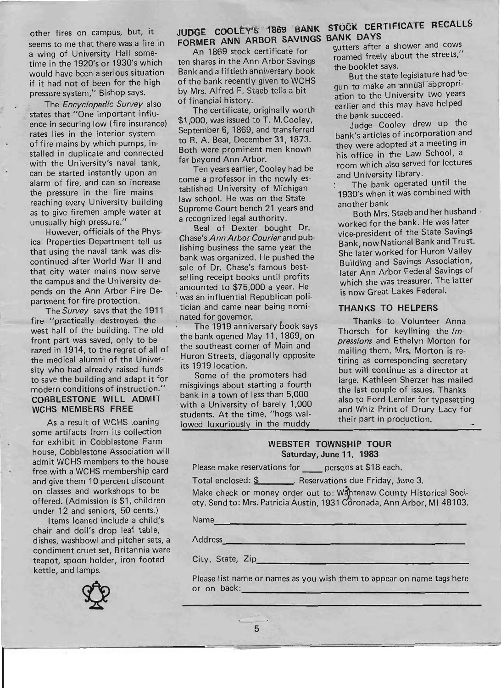other fires on campus, but, it seems to me that there was a fire in a wing of University Hall sometime in the 1920's or 1930's which would have been a serious situation if it had not of been for the high pressure system," Bishop says.

The Encyclopedic Survey also states that "One important influence in securing low (fire insurance) rates lies in the interior system of fire mains by which pumps, installed in duplicate and connected with the University's naval tank, can be started instantly upon an alarm of fire, and can so increase the pressure in the fire mains reaching every University building as to give firemen ample water at unusually high pressure."

I •

However, officials of the Physical Properties Department tell us that using the naval tank was discontinued after World War II and that city water mains now serve the campus and the University depends on the Ann Arbor Fire Department for fire protection.

The Survey says that the 1911 fire "practically destroyed the west half of the building. The old front part was saved, only to be razed in 1914, to the regret of all of the medical alumni of the University who had already raised funds to save the building and adapt it for modern conditions of instruction." COBBLESTONE WILL ADMIT WCHS MEMBERS FREE

As a result of WCHS loaning some artifacts from its collection for exhibit in Cobblestone Farm house, Cobblestone Association will admit WCHS members to the house free with a WCHS membership card and give them 10 percent discount on classes and workshops to be offered. (Admission is \$1, children under 12 and seniors, 50 cents.)

Items loaned include a child's chair and doll's drop leaf table, dishes, washbowl and pitcher sets, a condiment cruet set, Britannia ware teapot, spoon holder, iron footed kettle, and lamps.



## FdRMER ANN ARBOR SAVINGS BANK DAYS

An 1869 stock certificate for ten shares in the Ann Arbor Savings Bank and a fiftieth anniversary book of the bank recently given to WCHS by Mrs. Alfred F. Staeb tells a bit of financial history.

The certificate, originally worth \$1,000, was issued to T. M.Cooley, September 6, 1869, and transferred to R. A. Beal, December 31, 1873. Both were prominent men known far beyond Ann Arbor.

Ten years earlier, Cooley had become a professor in the newly established University of Michigan law school. He was on the State Supreme Court bench 21 years and a recognized legal authority.

Beal of Dexter bought Dr. Chase's Ann Arbor Courier and publishing business the same year the bank was organized. He pushed the sale of Dr. Chase's famous bestselling receipt books until profits amounted to \$75,000 a year. He was an influential Republican politician and came near being nomi nated for governor.

The 1919 anniversary book says the bank opened May 11, 1869, on the southeast corner of Main and Huron Streets, diagonally opposite its 1919 location.

Some of the promoters had misgivings about starting a fourth bank in a town of less than 5,000 with a University of barely 1,000 students. At the time, "hogs wallowed luxuriously in the muddy

# JUDGE COOLEY'S 1869 BANK STOCK CERTIFICATE RECALLS

gutters after a shower and cows roamed freely about the streets," the booklet says.

But the state legislature had begun to make an annual appropriation to the University two years earlier and this may have helped the bank succeed.

Judge Cooley drew up the bank's articles of incorporation and they were adopted at a meeting in his office in the Law School, a room which also served for lectures and University library.

The bank operated until the 1930's when it was combined with another bank

Both Mrs. Staeb and her husband . worked for the bank. He was later vice-president of the State Savings Bank, now National Bank and Trust. She later worked for Huron Valley Building and Savings Association, later Ann Arbor Federal Savings of which she was treasurer. The latter is now Great Lakes Federal.

## THANKS TO HELPERS

Thanks to Volunteer Anna Thorsch for keylining the /mpressions and Ethelyn Morton for mailing them. Mrs. Morton is retiring as corresponding secretary but will continue as a director at large. Kathleen Sherzer has mailed the last couple of issues. Thanks also to Ford Lemler for typesetting and Whiz Print of Drury Lacy for their part in production.

## WEBSTER TOWNSHIP TOUR Saturday, June 11, 1983

Please make reservations for persons at \$18 each.

Total enclosed: \$ . Reservations due Friday, June 3.

Make check or money order out to: Wantenaw County Historical Society. Send to: Mrs. Patricia Austin, 1931 Coronada, Ann Arbor, MI 48103.

Name

----------------------- Address

----------------------- City, State, Zip

-------------------- Please list name or names as you wish them to appear on name tags -here or on back: ----~--------------

5